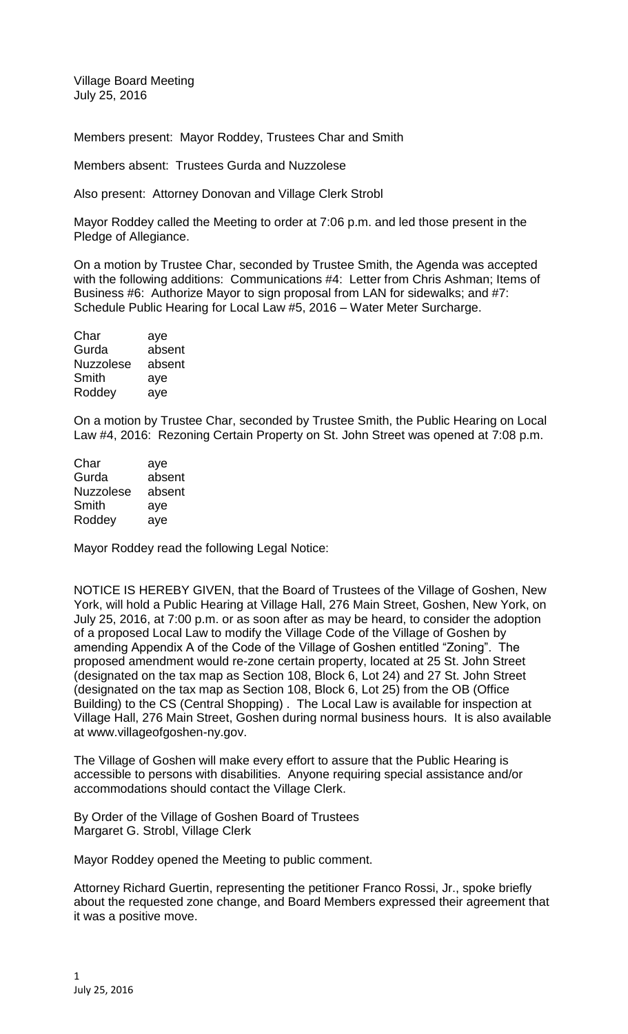Village Board Meeting July 25, 2016

Members present: Mayor Roddey, Trustees Char and Smith

Members absent: Trustees Gurda and Nuzzolese

Also present: Attorney Donovan and Village Clerk Strobl

Mayor Roddey called the Meeting to order at 7:06 p.m. and led those present in the Pledge of Allegiance.

On a motion by Trustee Char, seconded by Trustee Smith, the Agenda was accepted with the following additions: Communications #4: Letter from Chris Ashman; Items of Business #6: Authorize Mayor to sign proposal from LAN for sidewalks; and #7: Schedule Public Hearing for Local Law #5, 2016 – Water Meter Surcharge.

| Char             | aye    |
|------------------|--------|
| Gurda            | absent |
| <b>Nuzzolese</b> | absent |
| Smith            | aye    |
| Roddey           | aye    |
|                  |        |

On a motion by Trustee Char, seconded by Trustee Smith, the Public Hearing on Local Law #4, 2016: Rezoning Certain Property on St. John Street was opened at 7:08 p.m.

| Char             | aye    |
|------------------|--------|
| Gurda            | absent |
| <b>Nuzzolese</b> | absent |
| Smith            | aye    |
| Roddey           | aye    |

Mayor Roddey read the following Legal Notice:

NOTICE IS HEREBY GIVEN, that the Board of Trustees of the Village of Goshen, New York, will hold a Public Hearing at Village Hall, 276 Main Street, Goshen, New York, on July 25, 2016, at 7:00 p.m. or as soon after as may be heard, to consider the adoption of a proposed Local Law to modify the Village Code of the Village of Goshen by amending Appendix A of the Code of the Village of Goshen entitled "Zoning". The proposed amendment would re-zone certain property, located at 25 St. John Street (designated on the tax map as Section 108, Block 6, Lot 24) and 27 St. John Street (designated on the tax map as Section 108, Block 6, Lot 25) from the OB (Office Building) to the CS (Central Shopping) . The Local Law is available for inspection at Village Hall, 276 Main Street, Goshen during normal business hours. It is also available at www.villageofgoshen-ny.gov.

The Village of Goshen will make every effort to assure that the Public Hearing is accessible to persons with disabilities. Anyone requiring special assistance and/or accommodations should contact the Village Clerk.

By Order of the Village of Goshen Board of Trustees Margaret G. Strobl, Village Clerk

Mayor Roddey opened the Meeting to public comment.

Attorney Richard Guertin, representing the petitioner Franco Rossi, Jr., spoke briefly about the requested zone change, and Board Members expressed their agreement that it was a positive move.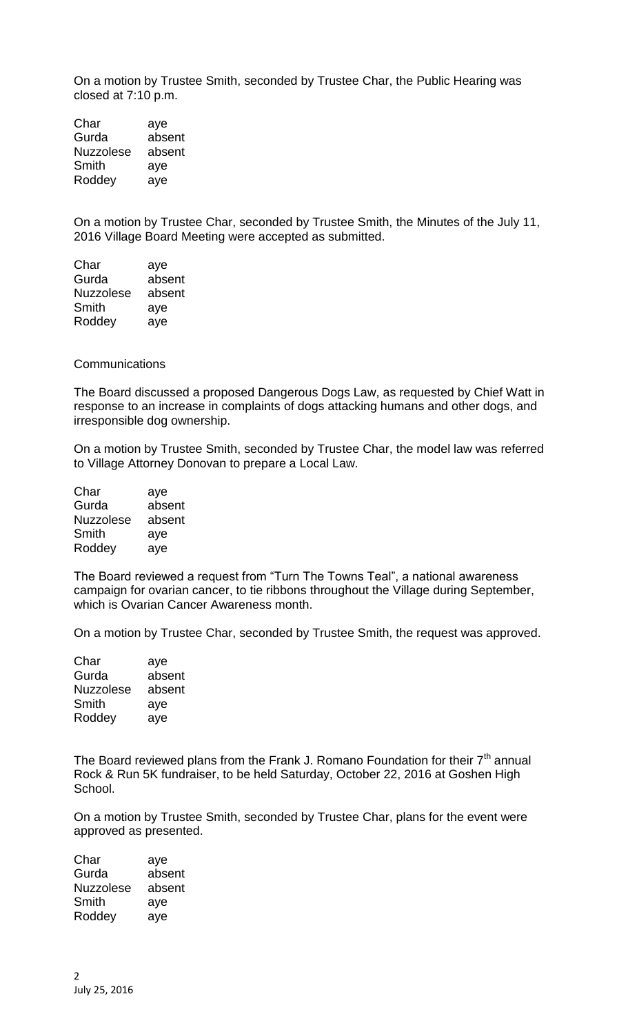On a motion by Trustee Smith, seconded by Trustee Char, the Public Hearing was closed at 7:10 p.m.

| aye    |
|--------|
| absent |
| absent |
| aye    |
| aye    |
|        |

On a motion by Trustee Char, seconded by Trustee Smith, the Minutes of the July 11, 2016 Village Board Meeting were accepted as submitted.

| Char             | aye    |
|------------------|--------|
| Gurda            | absent |
| <b>Nuzzolese</b> | absent |
| Smith            | aye    |
| Roddey           | ave    |

## **Communications**

The Board discussed a proposed Dangerous Dogs Law, as requested by Chief Watt in response to an increase in complaints of dogs attacking humans and other dogs, and irresponsible dog ownership.

On a motion by Trustee Smith, seconded by Trustee Char, the model law was referred to Village Attorney Donovan to prepare a Local Law.

| Char             | aye    |
|------------------|--------|
| Gurda            | absent |
| <b>Nuzzolese</b> | absent |
| Smith            | aye    |
| Roddey           | aye    |

The Board reviewed a request from "Turn The Towns Teal", a national awareness campaign for ovarian cancer, to tie ribbons throughout the Village during September, which is Ovarian Cancer Awareness month.

On a motion by Trustee Char, seconded by Trustee Smith, the request was approved.

| Char             | aye    |
|------------------|--------|
| Gurda            | absent |
| <b>Nuzzolese</b> | absent |
| Smith            | aye    |
| Roddey           | ave    |

The Board reviewed plans from the Frank J. Romano Foundation for their  $7<sup>th</sup>$  annual Rock & Run 5K fundraiser, to be held Saturday, October 22, 2016 at Goshen High School.

On a motion by Trustee Smith, seconded by Trustee Char, plans for the event were approved as presented.

Char aye Gurda absent Nuzzolese absent Smith aye<br>Roddey aye Roddey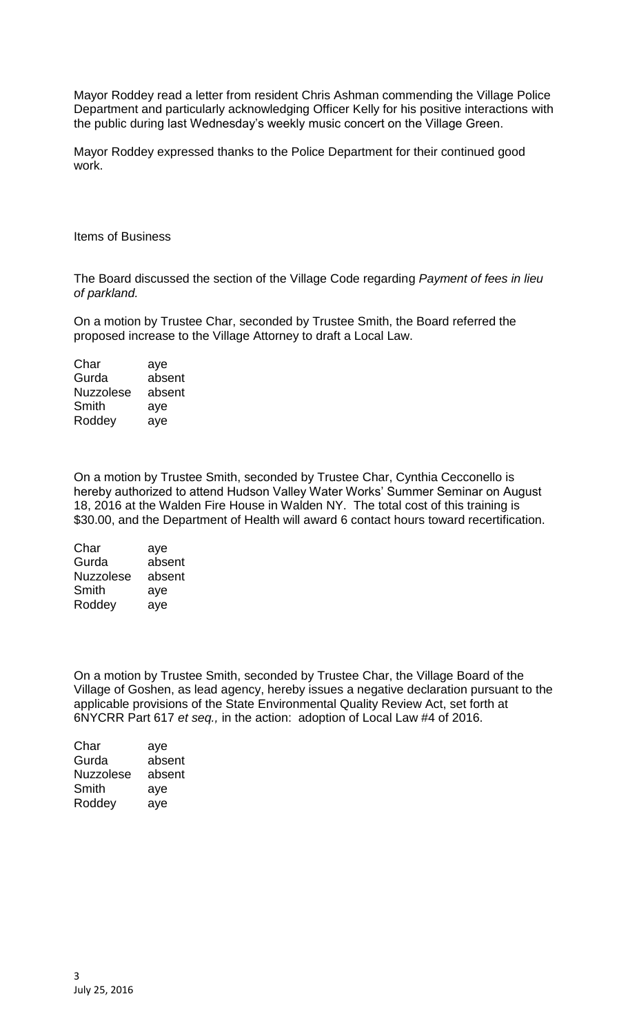Mayor Roddey read a letter from resident Chris Ashman commending the Village Police Department and particularly acknowledging Officer Kelly for his positive interactions with the public during last Wednesday's weekly music concert on the Village Green.

Mayor Roddey expressed thanks to the Police Department for their continued good work.

Items of Business

The Board discussed the section of the Village Code regarding *Payment of fees in lieu of parkland.*

On a motion by Trustee Char, seconded by Trustee Smith, the Board referred the proposed increase to the Village Attorney to draft a Local Law.

Char aye Gurda absent Nuzzolese absent Smith aye Roddey aye

On a motion by Trustee Smith, seconded by Trustee Char, Cynthia Cecconello is hereby authorized to attend Hudson Valley Water Works' Summer Seminar on August 18, 2016 at the Walden Fire House in Walden NY. The total cost of this training is \$30.00, and the Department of Health will award 6 contact hours toward recertification.

| Char             | aye    |
|------------------|--------|
| Gurda            | absent |
| <b>Nuzzolese</b> | absent |
| Smith            | aye    |
| Roddey           | aye    |

On a motion by Trustee Smith, seconded by Trustee Char, the Village Board of the Village of Goshen, as lead agency, hereby issues a negative declaration pursuant to the applicable provisions of the State Environmental Quality Review Act, set forth at 6NYCRR Part 617 *et seq.,* in the action: adoption of Local Law #4 of 2016.

| Char             | aye    |
|------------------|--------|
| Gurda            | absent |
| <b>Nuzzolese</b> | absent |
| Smith            | aye    |
| Roddey           | ave    |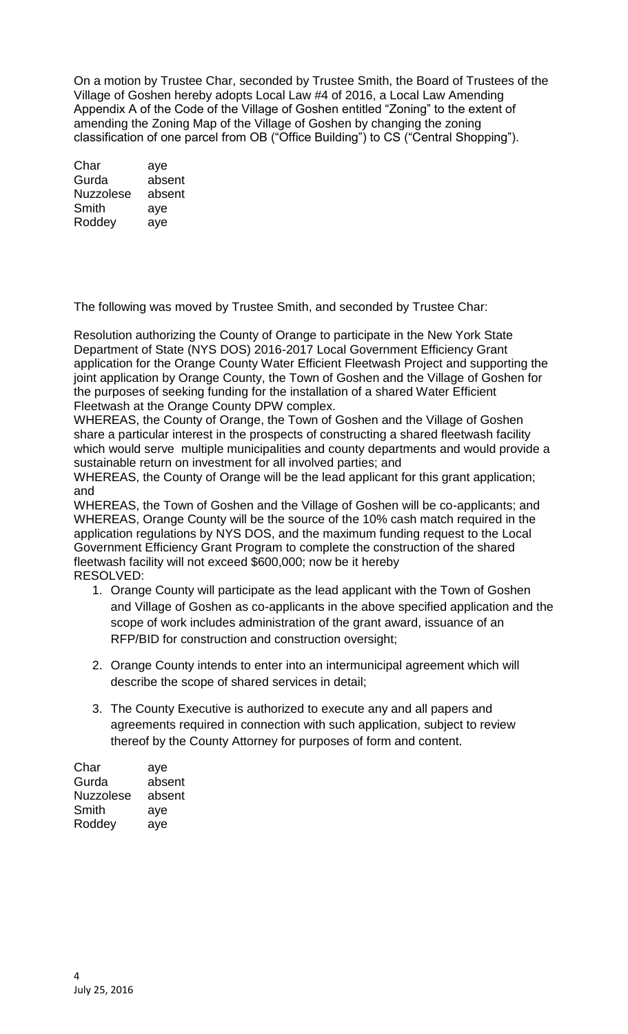On a motion by Trustee Char, seconded by Trustee Smith, the Board of Trustees of the Village of Goshen hereby adopts Local Law #4 of 2016, a Local Law Amending Appendix A of the Code of the Village of Goshen entitled "Zoning" to the extent of amending the Zoning Map of the Village of Goshen by changing the zoning classification of one parcel from OB ("Office Building") to CS ("Central Shopping").

Char aye Gurda absent Nuzzolese absent Smith aye Roddey aye

The following was moved by Trustee Smith, and seconded by Trustee Char:

Resolution authorizing the County of Orange to participate in the New York State Department of State (NYS DOS) 2016-2017 Local Government Efficiency Grant application for the Orange County Water Efficient Fleetwash Project and supporting the joint application by Orange County, the Town of Goshen and the Village of Goshen for the purposes of seeking funding for the installation of a shared Water Efficient Fleetwash at the Orange County DPW complex.

WHEREAS, the County of Orange, the Town of Goshen and the Village of Goshen share a particular interest in the prospects of constructing a shared fleetwash facility which would serve multiple municipalities and county departments and would provide a sustainable return on investment for all involved parties; and

WHEREAS, the County of Orange will be the lead applicant for this grant application; and

WHEREAS, the Town of Goshen and the Village of Goshen will be co-applicants; and WHEREAS, Orange County will be the source of the 10% cash match required in the application regulations by NYS DOS, and the maximum funding request to the Local Government Efficiency Grant Program to complete the construction of the shared fleetwash facility will not exceed \$600,000; now be it hereby RESOLVED:

- 1. Orange County will participate as the lead applicant with the Town of Goshen and Village of Goshen as co-applicants in the above specified application and the scope of work includes administration of the grant award, issuance of an RFP/BID for construction and construction oversight;
- 2. Orange County intends to enter into an intermunicipal agreement which will describe the scope of shared services in detail;
- 3. The County Executive is authorized to execute any and all papers and agreements required in connection with such application, subject to review thereof by the County Attorney for purposes of form and content.

| Char             | aye    |
|------------------|--------|
| Gurda            | absent |
| <b>Nuzzolese</b> | absent |
| Smith            | aye    |
| Roddey           | aye    |
|                  |        |